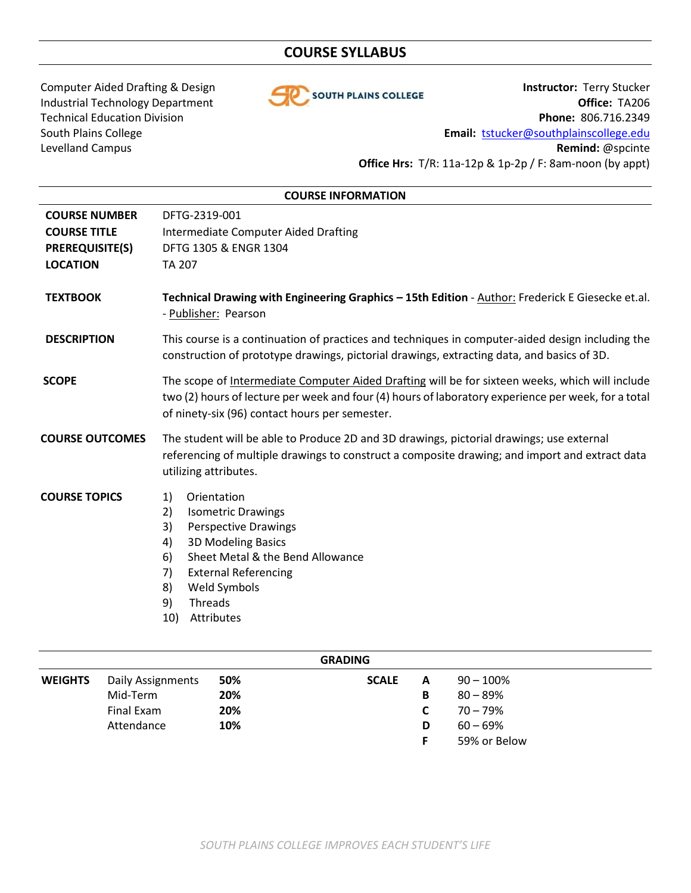# **COURSE SYLLABUS**



Computer Aided Drafting & Design **Instructor:** Terry Stucker Industrial Technology Department **Office: TA206** Technical Education Division **Phone:** 806.716.2349 South Plains College **Email:** [tstucker@southplainscollege.edu](mailto:tstucker@southplainscollege.edu) Levelland Campus **Remind:** @spcinte **Office Hrs:** T/R: 11a-12p & 1p-2p / F: 8am-noon (by appt)

| <b>COURSE INFORMATION</b>                                                                |                                                                                                                                                                                                                                                                         |  |  |  |  |
|------------------------------------------------------------------------------------------|-------------------------------------------------------------------------------------------------------------------------------------------------------------------------------------------------------------------------------------------------------------------------|--|--|--|--|
| <b>COURSE NUMBER</b><br><b>COURSE TITLE</b><br><b>PREREQUISITE(S)</b><br><b>LOCATION</b> | DFTG-2319-001<br>Intermediate Computer Aided Drafting<br>DFTG 1305 & ENGR 1304<br><b>TA 207</b>                                                                                                                                                                         |  |  |  |  |
| <b>TEXTBOOK</b>                                                                          | Technical Drawing with Engineering Graphics - 15th Edition - Author: Frederick E Giesecke et.al.<br>- Publisher: Pearson                                                                                                                                                |  |  |  |  |
| <b>DESCRIPTION</b>                                                                       | This course is a continuation of practices and techniques in computer-aided design including the<br>construction of prototype drawings, pictorial drawings, extracting data, and basics of 3D.                                                                          |  |  |  |  |
| <b>SCOPE</b>                                                                             | The scope of Intermediate Computer Aided Drafting will be for sixteen weeks, which will include<br>two (2) hours of lecture per week and four (4) hours of laboratory experience per week, for a total<br>of ninety-six (96) contact hours per semester.                |  |  |  |  |
| <b>COURSE OUTCOMES</b>                                                                   | The student will be able to Produce 2D and 3D drawings, pictorial drawings; use external<br>referencing of multiple drawings to construct a composite drawing; and import and extract data<br>utilizing attributes.                                                     |  |  |  |  |
| <b>COURSE TOPICS</b>                                                                     | 1)<br>Orientation<br>2)<br><b>Isometric Drawings</b><br>3)<br><b>Perspective Drawings</b><br><b>3D Modeling Basics</b><br>4)<br>Sheet Metal & the Bend Allowance<br>6)<br><b>External Referencing</b><br>7)<br>8)<br>Weld Symbols<br>9)<br>Threads<br>Attributes<br>10) |  |  |  |  |

| <b>GRADING</b> |                   |     |              |   |              |  |  |
|----------------|-------------------|-----|--------------|---|--------------|--|--|
| <b>WEIGHTS</b> | Daily Assignments | 50% | <b>SCALE</b> | A | $90 - 100\%$ |  |  |
|                | Mid-Term          | 20% |              | В | $80 - 89%$   |  |  |
|                | Final Exam        | 20% |              |   | $70 - 79\%$  |  |  |
|                | Attendance        | 10% |              | D | $60 - 69\%$  |  |  |
|                |                   |     |              |   | 59% or Below |  |  |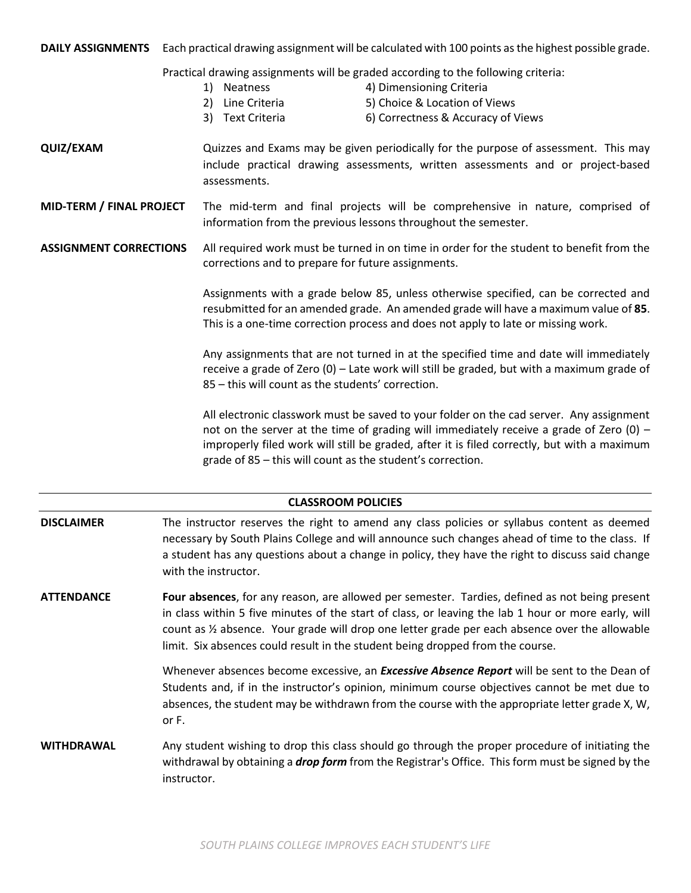**DAILY ASSIGNMENTS** Each practical drawing assignment will be calculated with 100 points as the highest possible grade.

Practical drawing assignments will be graded according to the following criteria:

- 1) Neatness 4) Dimensioning Criteria
- 
- 2) Line Criteria 5) Choice & Location of Views
- 3) Text Criteria 6) Correctness & Accuracy of Views
- **QUIZ/EXAM** Quizzes and Exams may be given periodically for the purpose of assessment. This may include practical drawing assessments, written assessments and or project-based assessments.
- **MID-TERM / FINAL PROJECT** The mid-term and final projects will be comprehensive in nature, comprised of information from the previous lessons throughout the semester.

**ASSIGNMENT CORRECTIONS** All required work must be turned in on time in order for the student to benefit from the corrections and to prepare for future assignments.

> Assignments with a grade below 85, unless otherwise specified, can be corrected and resubmitted for an amended grade. An amended grade will have a maximum value of **85**. This is a one-time correction process and does not apply to late or missing work.

> Any assignments that are not turned in at the specified time and date will immediately receive a grade of Zero (0) – Late work will still be graded, but with a maximum grade of 85 – this will count as the students' correction.

> All electronic classwork must be saved to your folder on the cad server. Any assignment not on the server at the time of grading will immediately receive a grade of Zero  $(0)$  – improperly filed work will still be graded, after it is filed correctly, but with a maximum grade of 85 – this will count as the student's correction.

# **CLASSROOM POLICIES**

- **DISCLAIMER** The instructor reserves the right to amend any class policies or syllabus content as deemed necessary by South Plains College and will announce such changes ahead of time to the class. If a student has any questions about a change in policy, they have the right to discuss said change with the instructor.
- **ATTENDANCE Four absences**, for any reason, are allowed per semester. Tardies, defined as not being present in class within 5 five minutes of the start of class, or leaving the lab 1 hour or more early, will count as ½ absence. Your grade will drop one letter grade per each absence over the allowable limit. Six absences could result in the student being dropped from the course.

Whenever absences become excessive, an *Excessive Absence Report* will be sent to the Dean of Students and, if in the instructor's opinion, minimum course objectives cannot be met due to absences, the student may be withdrawn from the course with the appropriate letter grade X, W, or F.

**WITHDRAWAL** Any student wishing to drop this class should go through the proper procedure of initiating the withdrawal by obtaining a *drop form* from the Registrar's Office. This form must be signed by the instructor.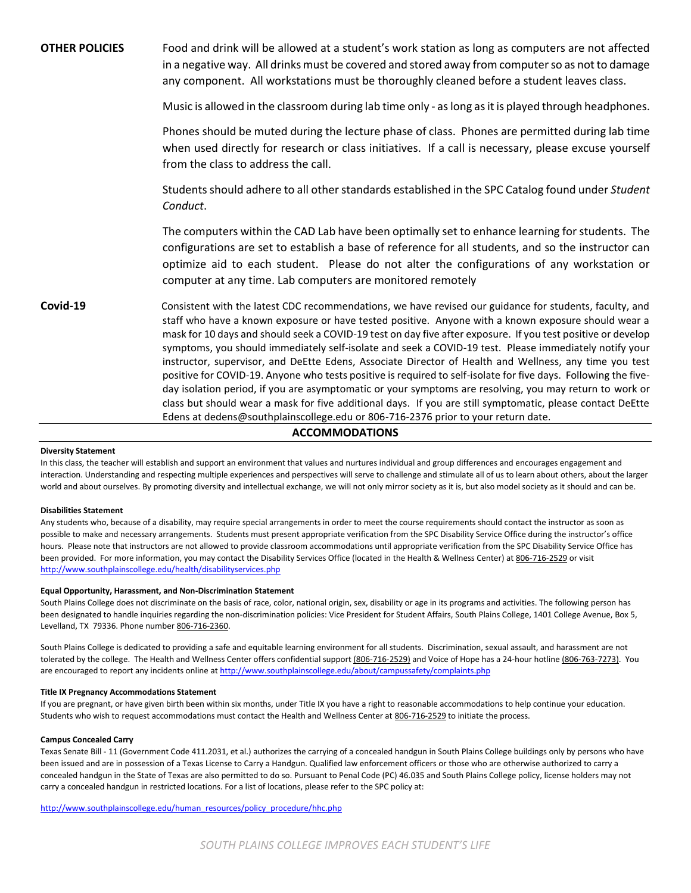**OTHER POLICIES** Food and drink will be allowed at a student's work station as long as computers are not affected in a negative way. All drinks must be covered and stored away from computer so as not to damage any component. All workstations must be thoroughly cleaned before a student leaves class. Music is allowed in the classroom during lab time only - as long as it is played through headphones. Phones should be muted during the lecture phase of class. Phones are permitted during lab time when used directly for research or class initiatives. If a call is necessary, please excuse yourself from the class to address the call. Students should adhere to all other standards established in the SPC Catalog found under *Student Conduct*. The computers within the CAD Lab have been optimally set to enhance learning for students. The configurations are set to establish a base of reference for all students, and so the instructor can optimize aid to each student. Please do not alter the configurations of any workstation or computer at any time. Lab computers are monitored remotely **Covid-19** Consistent with the latest CDC recommendations, we have revised our guidance for students, faculty, and staff who have a known exposure or have tested positive. Anyone with a known exposure should wear a mask for 10 days and should seek a COVID-19 test on day five after exposure. If you test positive or develop symptoms, you should immediately self-isolate and seek a COVID-19 test. Please immediately notify your instructor, supervisor, and DeEtte Edens, Associate Director of Health and Wellness, any time you test positive for COVID-19. Anyone who tests positive is required to self-isolate for five days. Following the fiveday isolation period, if you are asymptomatic or your symptoms are resolving, you may return to work or class but should wear a mask for five additional days. If you are still symptomatic, please contact DeEtte Edens at dedens@southplainscollege.edu or 806-716-2376 prior to your return date.

# **ACCOMMODATIONS**

## **Diversity Statement**

In this class, the teacher will establish and support an environment that values and nurtures individual and group differences and encourages engagement and interaction. Understanding and respecting multiple experiences and perspectives will serve to challenge and stimulate all of us to learn about others, about the larger world and about ourselves. By promoting diversity and intellectual exchange, we will not only mirror society as it is, but also model society as it should and can be.

## **Disabilities Statement**

Any students who, because of a disability, may require special arrangements in order to meet the course requirements should contact the instructor as soon as possible to make and necessary arrangements. Students must present appropriate verification from the SPC Disability Service Office during the instructor's office hours. Please note that instructors are not allowed to provide classroom accommodations until appropriate verification from the SPC Disability Service Office has been provided. For more information, you may contact the Disability Services Office (located in the Health & Wellness Center) at 806-716-2529 or visit <http://www.southplainscollege.edu/health/disabilityservices.php>

### **Equal Opportunity, Harassment, and Non-Discrimination Statement**

South Plains College does not discriminate on the basis of race, color, national origin, sex, disability or age in its programs and activities. The following person has been designated to handle inquiries regarding the non-discrimination policies: Vice President for Student Affairs, South Plains College, 1401 College Avenue, Box 5, Levelland, TX 79336. Phone number 806-716-2360.

South Plains College is dedicated to providing a safe and equitable learning environment for all students. Discrimination, sexual assault, and harassment are not tolerated by the college. The Health and Wellness Center offers confidential support (806-716-2529) and Voice of Hope has a 24-hour hotline (806-763-7273). You are encouraged to report any incidents online a[t http://www.southplainscollege.edu/about/campussafety/complaints.php](http://www.southplainscollege.edu/about/campussafety/complaints.php)

### **Title IX Pregnancy Accommodations Statement**

If you are pregnant, or have given birth been within six months, under Title IX you have a right to reasonable accommodations to help continue your education. Students who wish to request accommodations must contact the Health and Wellness Center at 806-716-2529 to initiate the process.

### **Campus Concealed Carry**

Texas Senate Bill - 11 (Government Code 411.2031, et al.) authorizes the carrying of a concealed handgun in South Plains College buildings only by persons who have been issued and are in possession of a Texas License to Carry a Handgun. Qualified law enforcement officers or those who are otherwise authorized to carry a concealed handgun in the State of Texas are also permitted to do so. Pursuant to Penal Code (PC) 46.035 and South Plains College policy, license holders may not carry a concealed handgun in restricted locations. For a list of locations, please refer to the SPC policy at:

[http://www.southplainscollege.edu/human\\_resources/policy\\_procedure/hhc.php](http://www.southplainscollege.edu/human_resources/policy_procedure/hhc.php)